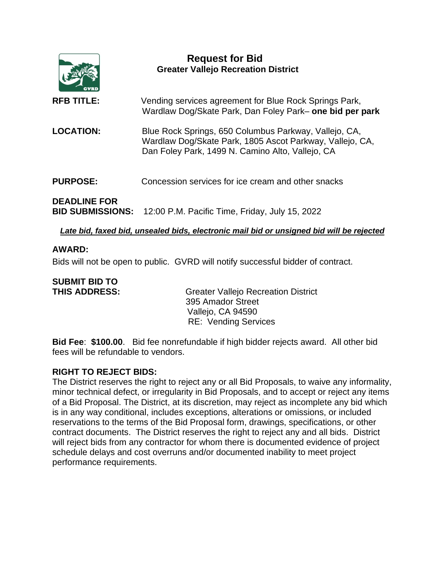

## *Late bid, faxed bid, unsealed bids, electronic mail bid or unsigned bid will be rejected*

## **AWARD:**

Bids will not be open to public. GVRD will notify successful bidder of contract.

# **SUBMIT BID TO**

**THIS ADDRESS:** Greater Vallejo Recreation District 395 Amador Street Vallejo, CA 94590 RE: Vending Services

**Bid Fee**: **\$100.00**. Bid fee nonrefundable if high bidder rejects award. All other bid fees will be refundable to vendors.

## **RIGHT TO REJECT BIDS:**

The District reserves the right to reject any or all Bid Proposals, to waive any informality, minor technical defect, or irregularity in Bid Proposals, and to accept or reject any items of a Bid Proposal. The District, at its discretion, may reject as incomplete any bid which is in any way conditional, includes exceptions, alterations or omissions, or included reservations to the terms of the Bid Proposal form, drawings, specifications, or other contract documents. The District reserves the right to reject any and all bids. District will reject bids from any contractor for whom there is documented evidence of project schedule delays and cost overruns and/or documented inability to meet project performance requirements.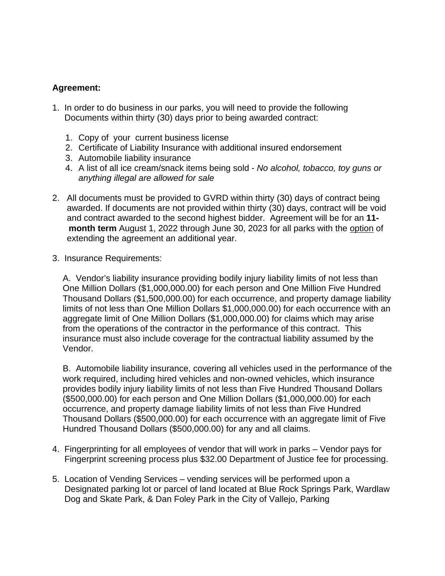# **Agreement:**

- 1.In order to do business in our parks, you will need to provide the following Documents within thirty (30) days prior to being awarded contract:
	- 1. Copy of your current business license
	- 2. Certificate of Liability Insurance with additional insured endorsement
	- 3. Automobile liability insurance
	- 4. A list of all ice cream/snack items being sold *No alcohol, tobacco, toy guns or anything illegal are allowed for sale*
- 2. All documents must be provided to GVRD within thirty (30) days of contract being awarded. If documents are not provided within thirty (30) days, contract will be void and contract awarded to the second highest bidder. Agreement will be for an **11 month term** August 1, 2022 through June 30, 2023 for all parks with the option of extending the agreement an additional year.
- 3.Insurance Requirements:

A. Vendor's liability insurance providing bodily injury liability limits of not less than One Million Dollars (\$1,000,000.00) for each person and One Million Five Hundred Thousand Dollars (\$1,500,000.00) for each occurrence, and property damage liability limits of not less than One Million Dollars \$1,000,000.00) for each occurrence with an aggregate limit of One Million Dollars (\$1,000,000.00) for claims which may arise from the operations of the contractor in the performance of this contract. This insurance must also include coverage for the contractual liability assumed by the Vendor.

B. Automobile liability insurance, covering all vehicles used in the performance of the work required, including hired vehicles and non-owned vehicles, which insurance provides bodily injury liability limits of not less than Five Hundred Thousand Dollars (\$500,000.00) for each person and One Million Dollars (\$1,000,000.00) for each occurrence, and property damage liability limits of not less than Five Hundred Thousand Dollars (\$500,000.00) for each occurrence with an aggregate limit of Five Hundred Thousand Dollars (\$500,000.00) for any and all claims.

- 4. Fingerprinting for all employees of vendor that will work in parks Vendor pays for Fingerprint screening process plus \$32.00 Department of Justice fee for processing.
- 5. Location of Vending Services vending services will be performed upon a Designated parking lot or parcel of land located at Blue Rock Springs Park, Wardlaw Dog and Skate Park, & Dan Foley Park in the City of Vallejo, Parking